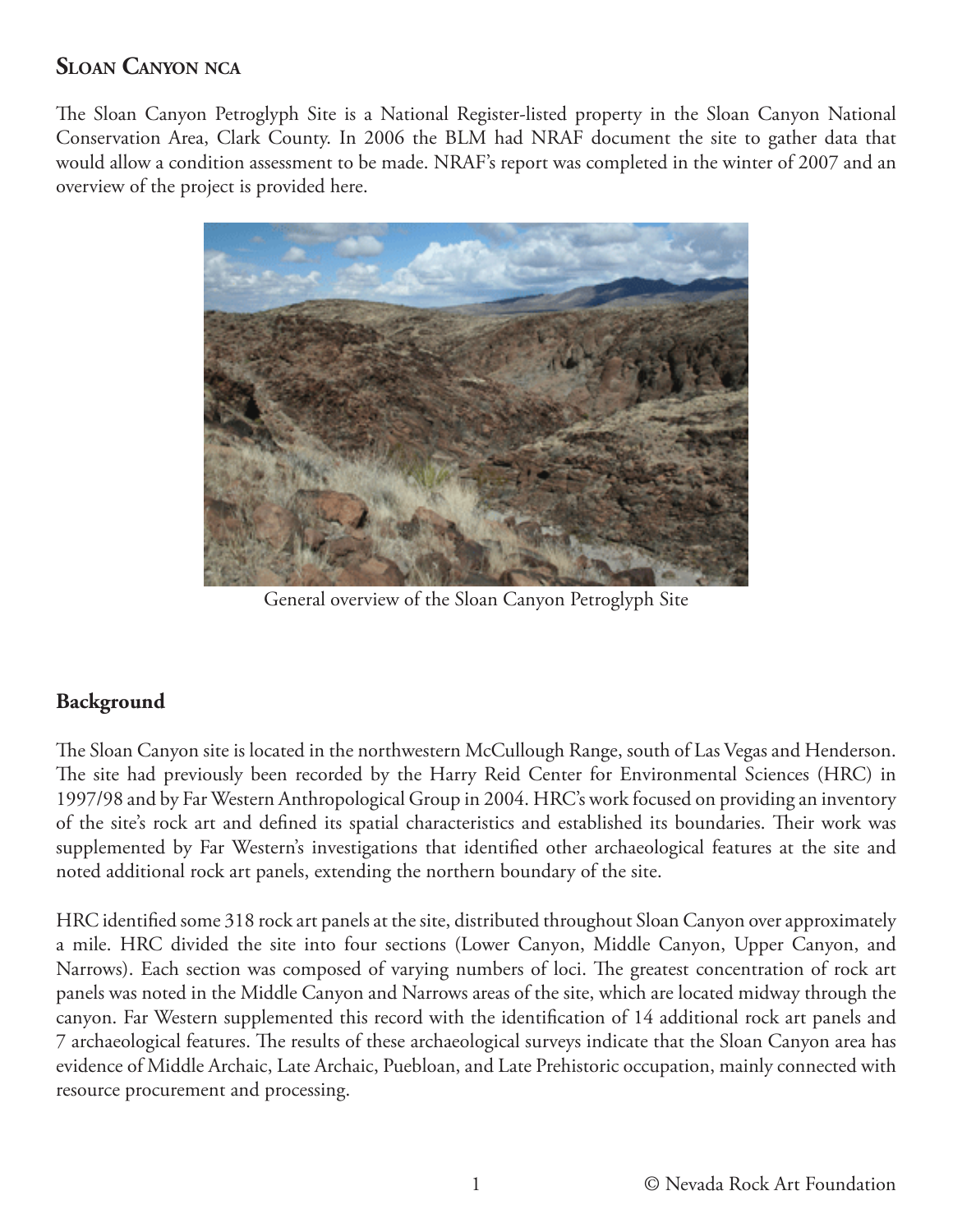# **SLOAN CANYON NCA**

The Sloan Canyon Petroglyph Site is a National Register-listed property in the Sloan Canyon National Conservation Area, Clark County. In 2006 the BLM had NRAF document the site to gather data that would allow a condition assessment to be made. NRAF's report was completed in the winter of 2007 and an overview of the project is provided here.



General overview of the Sloan Canyon Petroglyph Site

### **Background**

The Sloan Canyon site is located in the northwestern McCullough Range, south of Las Vegas and Henderson. The site had previously been recorded by the Harry Reid Center for Environmental Sciences (HRC) in 1997/98 and by Far Western Anthropological Group in 2004. HRC's work focused on providing an inventory of the site's rock art and defined its spatial characteristics and established its boundaries. Their work was supplemented by Far Western's investigations that identified other archaeological features at the site and noted additional rock art panels, extending the northern boundary of the site.

HRC identified some 318 rock art panels at the site, distributed throughout Sloan Canyon over approximately a mile. HRC divided the site into four sections (Lower Canyon, Middle Canyon, Upper Canyon, and Narrows). Each section was composed of varying numbers of loci. The greatest concentration of rock art panels was noted in the Middle Canyon and Narrows areas of the site, which are located midway through the canyon. Far Western supplemented this record with the identification of 14 additional rock art panels and 7 archaeological features. The results of these archaeological surveys indicate that the Sloan Canyon area has evidence of Middle Archaic, Late Archaic, Puebloan, and Late Prehistoric occupation, mainly connected with resource procurement and processing.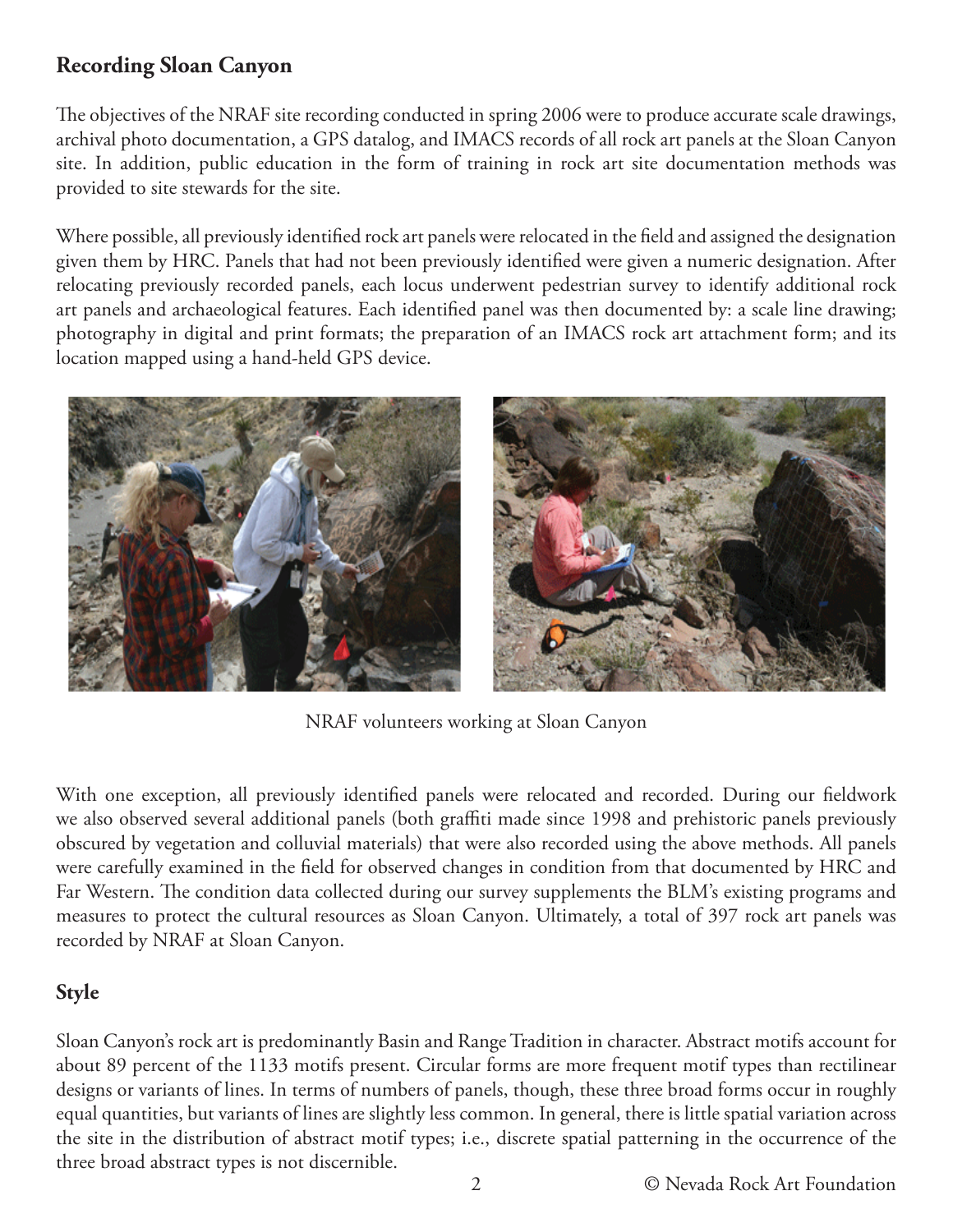# **Recording Sloan Canyon**

The objectives of the NRAF site recording conducted in spring 2006 were to produce accurate scale drawings, archival photo documentation, a GPS datalog, and IMACS records of all rock art panels at the Sloan Canyon site. In addition, public education in the form of training in rock art site documentation methods was provided to site stewards for the site.

Where possible, all previously identified rock art panels were relocated in the field and assigned the designation given them by HRC. Panels that had not been previously identified were given a numeric designation. After relocating previously recorded panels, each locus underwent pedestrian survey to identify additional rock art panels and archaeological features. Each identified panel was then documented by: a scale line drawing; photography in digital and print formats; the preparation of an IMACS rock art attachment form; and its location mapped using a hand-held GPS device.



NRAF volunteers working at Sloan Canyon

With one exception, all previously identified panels were relocated and recorded. During our fieldwork we also observed several additional panels (both graffiti made since 1998 and prehistoric panels previously obscured by vegetation and colluvial materials) that were also recorded using the above methods. All panels were carefully examined in the field for observed changes in condition from that documented by HRC and Far Western. The condition data collected during our survey supplements the BLM's existing programs and measures to protect the cultural resources as Sloan Canyon. Ultimately, a total of 397 rock art panels was recorded by NRAF at Sloan Canyon.

#### **Style**

Sloan Canyon's rock art is predominantly Basin and Range Tradition in character. Abstract motifs account for about 89 percent of the 1133 motifs present. Circular forms are more frequent motif types than rectilinear designs or variants of lines. In terms of numbers of panels, though, these three broad forms occur in roughly equal quantities, but variants of lines are slightly less common. In general, there is little spatial variation across the site in the distribution of abstract motif types; i.e., discrete spatial patterning in the occurrence of the three broad abstract types is not discernible.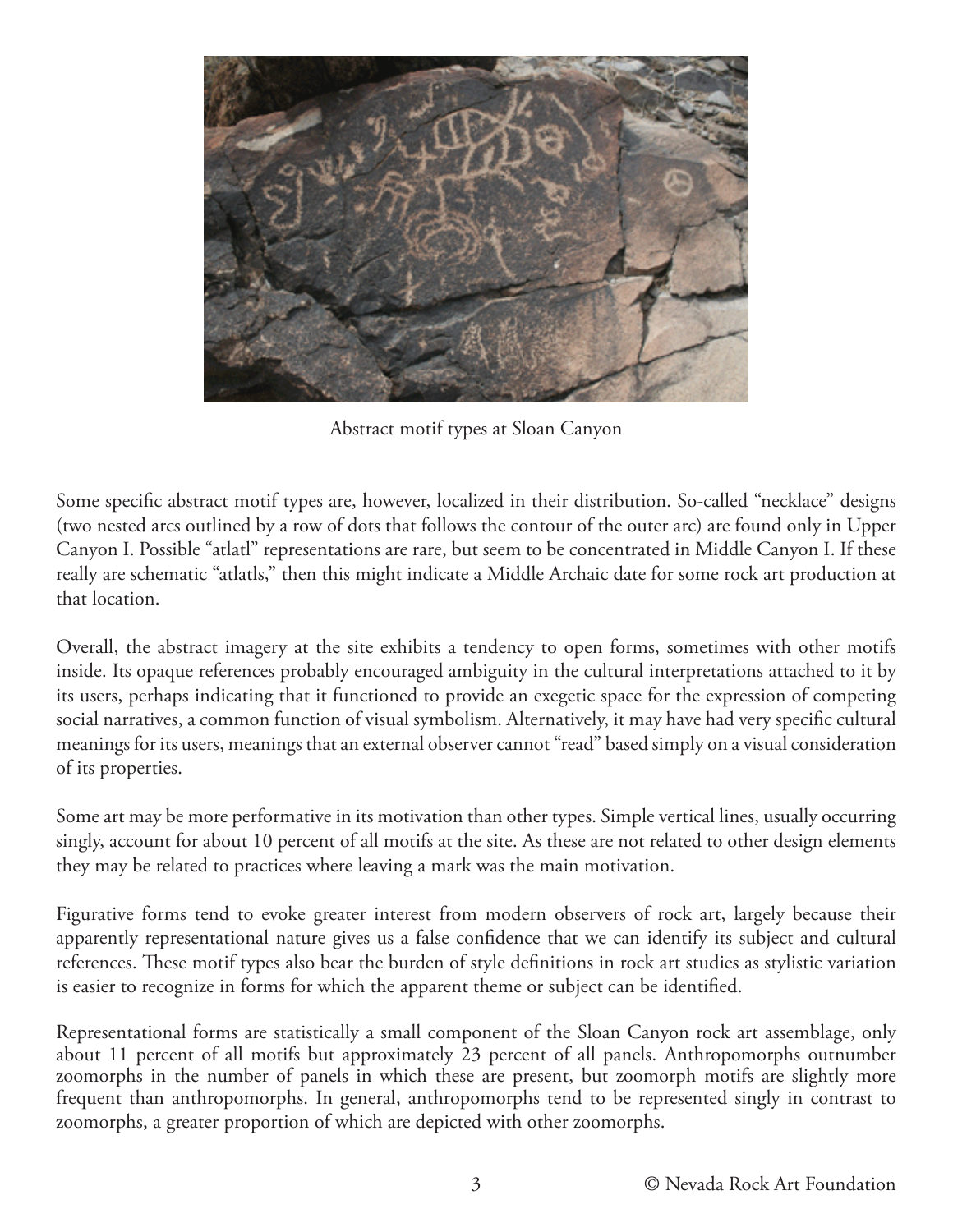

Abstract motif types at Sloan Canyon

Some specific abstract motif types are, however, localized in their distribution. So-called "necklace" designs (two nested arcs outlined by a row of dots that follows the contour of the outer arc) are found only in Upper Canyon I. Possible "atlatl" representations are rare, but seem to be concentrated in Middle Canyon I. If these really are schematic "atlatls," then this might indicate a Middle Archaic date for some rock art production at that location.

Overall, the abstract imagery at the site exhibits a tendency to open forms, sometimes with other motifs inside. Its opaque references probably encouraged ambiguity in the cultural interpretations attached to it by its users, perhaps indicating that it functioned to provide an exegetic space for the expression of competing social narratives, a common function of visual symbolism. Alternatively, it may have had very specific cultural meanings for its users, meanings that an external observer cannot "read" based simply on a visual consideration of its properties.

Some art may be more performative in its motivation than other types. Simple vertical lines, usually occurring singly, account for about 10 percent of all motifs at the site. As these are not related to other design elements they may be related to practices where leaving a mark was the main motivation.

Figurative forms tend to evoke greater interest from modern observers of rock art, largely because their apparently representational nature gives us a false confidence that we can identify its subject and cultural references. These motif types also bear the burden of style definitions in rock art studies as stylistic variation is easier to recognize in forms for which the apparent theme or subject can be identified.

Representational forms are statistically a small component of the Sloan Canyon rock art assemblage, only about 11 percent of all motifs but approximately 23 percent of all panels. Anthropomorphs outnumber zoomorphs in the number of panels in which these are present, but zoomorph motifs are slightly more frequent than anthropomorphs. In general, anthropomorphs tend to be represented singly in contrast to zoomorphs, a greater proportion of which are depicted with other zoomorphs.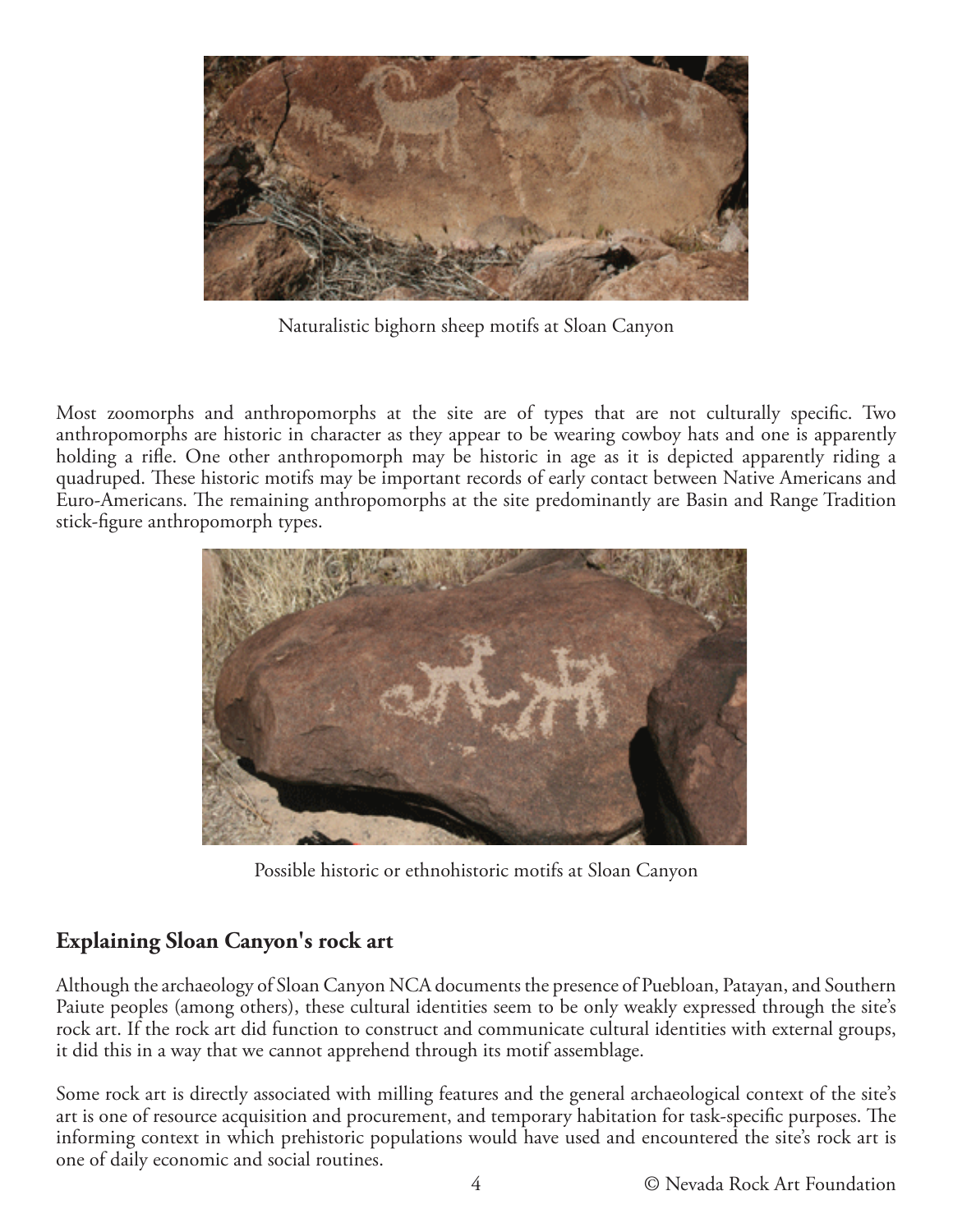

Naturalistic bighorn sheep motifs at Sloan Canyon

Most zoomorphs and anthropomorphs at the site are of types that are not culturally specific. Two anthropomorphs are historic in character as they appear to be wearing cowboy hats and one is apparently holding a rifle. One other anthropomorph may be historic in age as it is depicted apparently riding a quadruped. These historic motifs may be important records of early contact between Native Americans and Euro-Americans. The remaining anthropomorphs at the site predominantly are Basin and Range Tradition stick-figure anthropomorph types.



Possible historic or ethnohistoric motifs at Sloan Canyon

# **Explaining Sloan Canyon's rock art**

Although the archaeology of Sloan Canyon NCA documents the presence of Puebloan, Patayan, and Southern Paiute peoples (among others), these cultural identities seem to be only weakly expressed through the site's rock art. If the rock art did function to construct and communicate cultural identities with external groups, it did this in a way that we cannot apprehend through its motif assemblage.

Some rock art is directly associated with milling features and the general archaeological context of the site's art is one of resource acquisition and procurement, and temporary habitation for task-specific purposes. The informing context in which prehistoric populations would have used and encountered the site's rock art is one of daily economic and social routines.